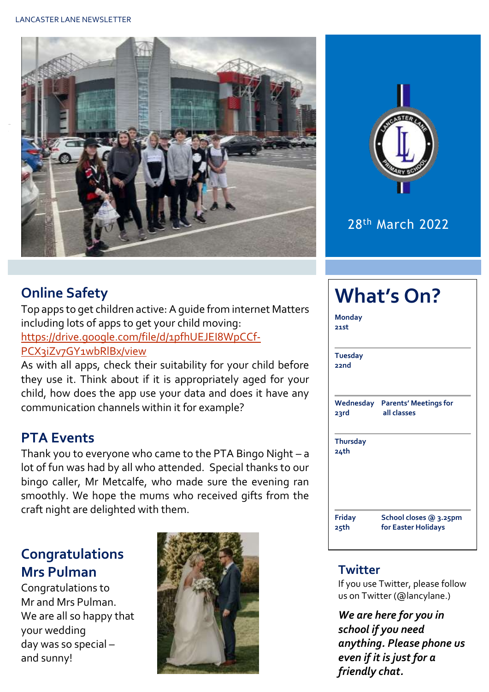



## 28th March 2022

## **Online Safety**

Top apps to get children active: A guide from internet Matters including lots of apps to get your child moving: [https://drive.google.com/file/d/1pfhUEJEI8WpCCf-](https://drive.google.com/file/d/1pfhUEJEI8WpCCf-PCX3iZv7GY1wbRlBx/view)[PCX3iZv7GY1wbRlBx/view](https://drive.google.com/file/d/1pfhUEJEI8WpCCf-PCX3iZv7GY1wbRlBx/view)

As with all apps, check their suitability for your child before they use it. Think about if it is appropriately aged for your child, how does the app use your data and does it have any communication channels within it for example?

## **PTA Events**

Thank you to everyone who came to the PTA Bingo Night – a lot of fun was had by all who attended. Special thanks to our bingo caller, Mr Metcalfe, who made sure the evening ran smoothly. We hope the mums who received gifts from the craft night are delighted with them.

## **Congratulations Mrs Pulman**

Congratulations to Mr and Mrs Pulman. We are all so happy that your wedding day was so special – and sunny!



| <b>What's On?</b>       |                                                       |  |  |  |  |  |
|-------------------------|-------------------------------------------------------|--|--|--|--|--|
| <b>Monday</b><br>21st   |                                                       |  |  |  |  |  |
| <b>Tuesday</b><br>22nd  |                                                       |  |  |  |  |  |
| 23rd                    | <b>Wednesday Parents' Meetings for</b><br>all classes |  |  |  |  |  |
| <b>Thursday</b><br>24th |                                                       |  |  |  |  |  |
| <b>Friday</b><br>25th   | School closes @ 3.25pm<br>for Easter Holidays         |  |  |  |  |  |

#### **Twitter**

If you use Twitter, please follow us on Twitter (@lancylane.)

*We are here for you in school if you need anything. Please phone us even if it is just for a friendly chat.*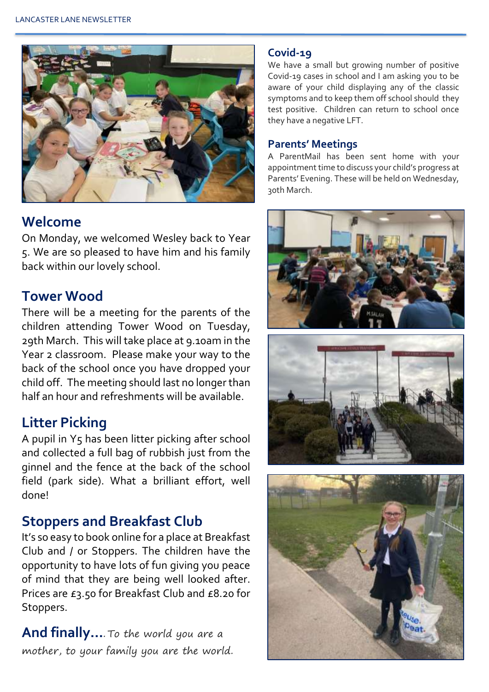

## **Welcome**

On Monday, we welcomed Wesley back to Year 5. We are so pleased to have him and his family back within our lovely school.

## **Tower Wood**

There will be a meeting for the parents of the children attending Tower Wood on Tuesday, 29th March. This will take place at 9.10am in the Year 2 classroom. Please make your way to the back of the school once you have dropped your child off. The meeting should last no longer than half an hour and refreshments will be available.

## **Litter Picking**

A pupil in Y5 has been litter picking after school and collected a full bag of rubbish just from the ginnel and the fence at the back of the school field (park side). What a brilliant effort, well done!

## **Stoppers and Breakfast Club**

It's so easy to book online for a place at Breakfast Club and / or Stoppers. The children have the opportunity to have lots of fun giving you peace of mind that they are being well looked after. Prices are £3.50 for Breakfast Club and £8.20 for Stoppers.

**And finally…**. To the world you are a mother, to your family you are the world.

#### **Covid-19**

We have a small but growing number of positive Covid-19 cases in school and I am asking you to be aware of your child displaying any of the classic symptoms and to keep them off school should they test positive. Children can return to school once they have a negative LFT.

#### **Parents' Meetings**

A ParentMail has been sent home with your appointment time to discuss your child's progress at Parents' Evening. These will be held on Wednesday, 30th March.